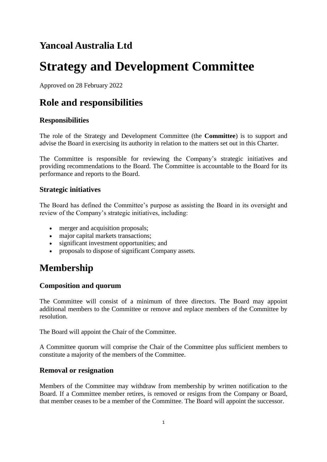# **Yancoal Australia Ltd**

# **Strategy and Development Committee**

Approved on 28 February 2022

## **Role and responsibilities**

### **Responsibilities**

The role of the Strategy and Development Committee (the **Committee**) is to support and advise the Board in exercising its authority in relation to the matters set out in this Charter.

The Committee is responsible for reviewing the Company's strategic initiatives and providing recommendations to the Board. The Committee is accountable to the Board for its performance and reports to the Board.

#### **Strategic initiatives**

The Board has defined the Committee's purpose as assisting the Board in its oversight and review of the Company's strategic initiatives, including:

- merger and acquisition proposals;
- major capital markets transactions;
- significant investment opportunities; and
- proposals to dispose of significant Company assets.

### **Membership**

### **Composition and quorum**

The Committee will consist of a minimum of three directors. The Board may appoint additional members to the Committee or remove and replace members of the Committee by resolution.

The Board will appoint the Chair of the Committee.

A Committee quorum will comprise the Chair of the Committee plus sufficient members to constitute a majority of the members of the Committee.

#### **Removal or resignation**

Members of the Committee may withdraw from membership by written notification to the Board. If a Committee member retires, is removed or resigns from the Company or Board, that member ceases to be a member of the Committee. The Board will appoint the successor.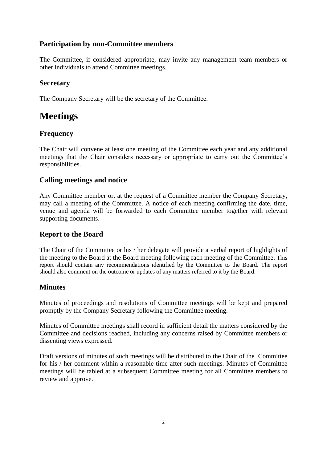#### **Participation by non-Committee members**

The Committee, if considered appropriate, may invite any management team members or other individuals to attend Committee meetings.

#### **Secretary**

The Company Secretary will be the secretary of the Committee.

### **Meetings**

### **Frequency**

The Chair will convene at least one meeting of the Committee each year and any additional meetings that the Chair considers necessary or appropriate to carry out the Committee's responsibilities.

#### **Calling meetings and notice**

Any Committee member or, at the request of a Committee member the Company Secretary, may call a meeting of the Committee. A notice of each meeting confirming the date, time, venue and agenda will be forwarded to each Committee member together with relevant supporting documents.

#### **Report to the Board**

The Chair of the Committee or his / her delegate will provide a verbal report of highlights of the meeting to the Board at the Board meeting following each meeting of the Committee. This report should contain any recommendations identified by the Committee to the Board. The report should also comment on the outcome or updates of any matters referred to it by the Board.

#### **Minutes**

Minutes of proceedings and resolutions of Committee meetings will be kept and prepared promptly by the Company Secretary following the Committee meeting.

Minutes of Committee meetings shall record in sufficient detail the matters considered by the Committee and decisions reached, including any concerns raised by Committee members or dissenting views expressed.

Draft versions of minutes of such meetings will be distributed to the Chair of the Committee for his / her comment within a reasonable time after such meetings. Minutes of Committee meetings will be tabled at a subsequent Committee meeting for all Committee members to review and approve.